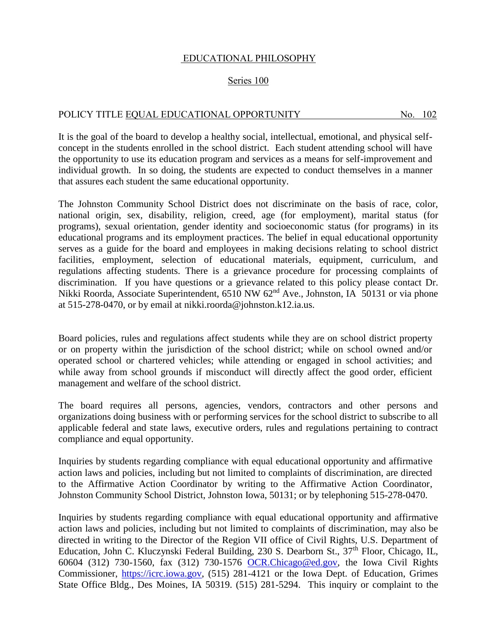## EDUCATIONAL PHILOSOPHY

## Series 100

## POLICY TITLE EQUAL EDUCATIONAL OPPORTUNITY No. 102

It is the goal of the board to develop a healthy social, intellectual, emotional, and physical selfconcept in the students enrolled in the school district. Each student attending school will have the opportunity to use its education program and services as a means for self-improvement and individual growth. In so doing, the students are expected to conduct themselves in a manner that assures each student the same educational opportunity.

The Johnston Community School District does not discriminate on the basis of race, color, national origin, sex, disability, religion, creed, age (for employment), marital status (for programs), sexual orientation, gender identity and socioeconomic status (for programs) in its educational programs and its employment practices. The belief in equal educational opportunity serves as a guide for the board and employees in making decisions relating to school district facilities, employment, selection of educational materials, equipment, curriculum, and regulations affecting students. There is a grievance procedure for processing complaints of discrimination. If you have questions or a grievance related to this policy please contact Dr. Nikki Roorda, Associate Superintendent, 6510 NW 62<sup>nd</sup> Ave., Johnston, IA 50131 or via phone at 515-278-0470, or by email at nikki.roorda@johnston.k12.ia.us.

Board policies, rules and regulations affect students while they are on school district property or on property within the jurisdiction of the school district; while on school owned and/or operated school or chartered vehicles; while attending or engaged in school activities; and while away from school grounds if misconduct will directly affect the good order, efficient management and welfare of the school district.

The board requires all persons, agencies, vendors, contractors and other persons and organizations doing business with or performing services for the school district to subscribe to all applicable federal and state laws, executive orders, rules and regulations pertaining to contract compliance and equal opportunity.

Inquiries by students regarding compliance with equal educational opportunity and affirmative action laws and policies, including but not limited to complaints of discrimination, are directed to the Affirmative Action Coordinator by writing to the Affirmative Action Coordinator, Johnston Community School District, Johnston Iowa, 50131; or by telephoning 515-278-0470.

Inquiries by students regarding compliance with equal educational opportunity and affirmative action laws and policies, including but not limited to complaints of discrimination, may also be directed in writing to the Director of the Region VII office of Civil Rights, U.S. Department of Education, John C. Kluczynski Federal Building, 230 S. Dearborn St., 37<sup>th</sup> Floor, Chicago, IL, 60604 (312) 730-1560, fax (312) 730-1576 [OCR.Chicago@ed.gov,](mailto:OCR.Chicago@ed.gov) the Iowa Civil Rights Commissioner, [https://icrc.iowa.gov,](https://icrc.iowa.gov/) (515) 281-4121 or the Iowa Dept. of Education, Grimes State Office Bldg., Des Moines, IA 50319. (515) 281-5294. This inquiry or complaint to the